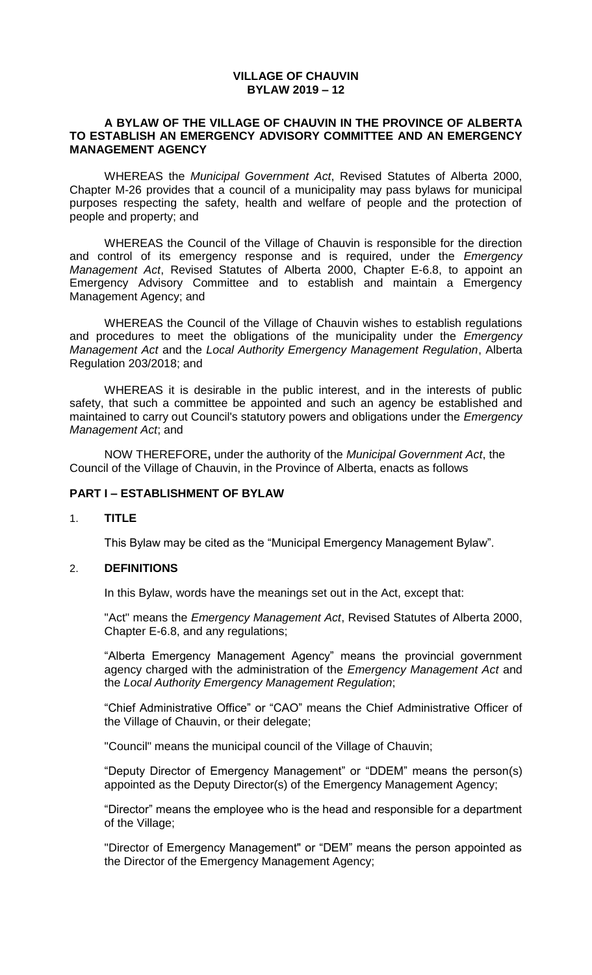### **VILLAGE OF CHAUVIN BYLAW 2019 – 12**

#### **A BYLAW OF THE VILLAGE OF CHAUVIN IN THE PROVINCE OF ALBERTA TO ESTABLISH AN EMERGENCY ADVISORY COMMITTEE AND AN EMERGENCY MANAGEMENT AGENCY**

WHEREAS the *Municipal Government Act*, Revised Statutes of Alberta 2000, Chapter M-26 provides that a council of a municipality may pass bylaws for municipal purposes respecting the safety, health and welfare of people and the protection of people and property; and

WHEREAS the Council of the Village of Chauvin is responsible for the direction and control of its emergency response and is required, under the *Emergency Management Act*, Revised Statutes of Alberta 2000, Chapter E-6.8, to appoint an Emergency Advisory Committee and to establish and maintain a Emergency Management Agency; and

WHEREAS the Council of the Village of Chauvin wishes to establish regulations and procedures to meet the obligations of the municipality under the *Emergency Management Act* and the *Local Authority Emergency Management Regulation*, Alberta Regulation 203/2018; and

WHEREAS it is desirable in the public interest, and in the interests of public safety, that such a committee be appointed and such an agency be established and maintained to carry out Council's statutory powers and obligations under the *Emergency Management Act*; and

NOW THEREFORE**,** under the authority of the *Municipal Government Act*, the Council of the Village of Chauvin, in the Province of Alberta, enacts as follows

#### **PART I – ESTABLISHMENT OF BYLAW**

#### 1. **TITLE**

This Bylaw may be cited as the "Municipal Emergency Management Bylaw".

#### 2. **DEFINITIONS**

In this Bylaw, words have the meanings set out in the Act, except that:

"Act" means the *Emergency Management Act*, Revised Statutes of Alberta 2000, Chapter E-6.8, and any regulations;

"Alberta Emergency Management Agency" means the provincial government agency charged with the administration of the *Emergency Management Act* and the *Local Authority Emergency Management Regulation*;

"Chief Administrative Office" or "CAO" means the Chief Administrative Officer of the Village of Chauvin, or their delegate;

"Council" means the municipal council of the Village of Chauvin;

"Deputy Director of Emergency Management" or "DDEM" means the person(s) appointed as the Deputy Director(s) of the Emergency Management Agency;

"Director" means the employee who is the head and responsible for a department of the Village;

"Director of Emergency Management" or "DEM" means the person appointed as the Director of the Emergency Management Agency;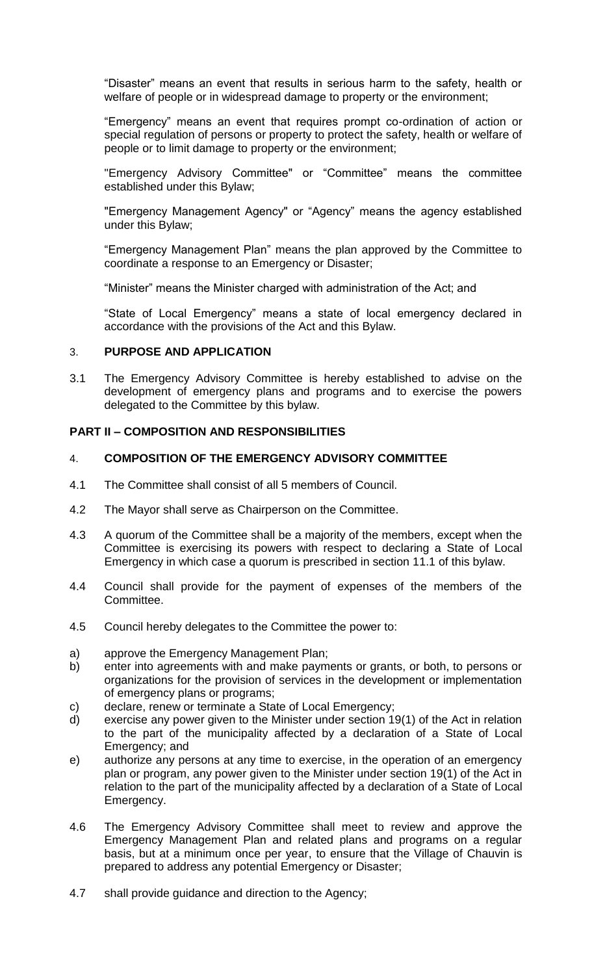"Disaster" means an event that results in serious harm to the safety, health or welfare of people or in widespread damage to property or the environment;

"Emergency" means an event that requires prompt co-ordination of action or special regulation of persons or property to protect the safety, health or welfare of people or to limit damage to property or the environment;

"Emergency Advisory Committee" or "Committee" means the committee established under this Bylaw;

"Emergency Management Agency" or "Agency" means the agency established under this Bylaw;

"Emergency Management Plan" means the plan approved by the Committee to coordinate a response to an Emergency or Disaster;

"Minister" means the Minister charged with administration of the Act; and

"State of Local Emergency" means a state of local emergency declared in accordance with the provisions of the Act and this Bylaw.

### 3. **PURPOSE AND APPLICATION**

3.1 The Emergency Advisory Committee is hereby established to advise on the development of emergency plans and programs and to exercise the powers delegated to the Committee by this bylaw.

### **PART II – COMPOSITION AND RESPONSIBILITIES**

#### 4. **COMPOSITION OF THE EMERGENCY ADVISORY COMMITTEE**

- 4.1 The Committee shall consist of all 5 members of Council.
- 4.2 The Mayor shall serve as Chairperson on the Committee.
- 4.3 A quorum of the Committee shall be a majority of the members, except when the Committee is exercising its powers with respect to declaring a State of Local Emergency in which case a quorum is prescribed in section 11.1 of this bylaw.
- 4.4 Council shall provide for the payment of expenses of the members of the Committee.
- 4.5 Council hereby delegates to the Committee the power to:
- a) approve the Emergency Management Plan;
- b) enter into agreements with and make payments or grants, or both, to persons or organizations for the provision of services in the development or implementation of emergency plans or programs;
- c) declare, renew or terminate a State of Local Emergency;
- d) exercise any power given to the Minister under section 19(1) of the Act in relation to the part of the municipality affected by a declaration of a State of Local Emergency; and
- e) authorize any persons at any time to exercise, in the operation of an emergency plan or program, any power given to the Minister under section 19(1) of the Act in relation to the part of the municipality affected by a declaration of a State of Local Emergency.
- 4.6 The Emergency Advisory Committee shall meet to review and approve the Emergency Management Plan and related plans and programs on a regular basis, but at a minimum once per year, to ensure that the Village of Chauvin is prepared to address any potential Emergency or Disaster;
- 4.7 shall provide guidance and direction to the Agency;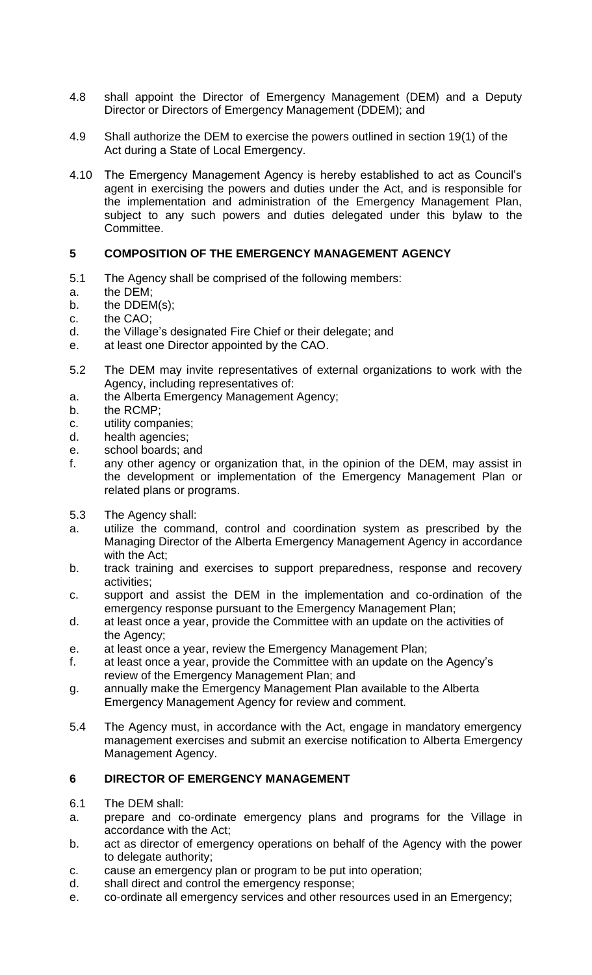- 4.8 shall appoint the Director of Emergency Management (DEM) and a Deputy Director or Directors of Emergency Management (DDEM); and
- 4.9 Shall authorize the DEM to exercise the powers outlined in section 19(1) of the Act during a State of Local Emergency.
- 4.10 The Emergency Management Agency is hereby established to act as Council's agent in exercising the powers and duties under the Act, and is responsible for the implementation and administration of the Emergency Management Plan, subject to any such powers and duties delegated under this bylaw to the Committee.

# **5 COMPOSITION OF THE EMERGENCY MANAGEMENT AGENCY**

- 5.1 The Agency shall be comprised of the following members:
- a. the DEM;
- b. the DDEM(s);
- c. the CAO;
- d. the Village's designated Fire Chief or their delegate; and
- e. at least one Director appointed by the CAO.
- 5.2 The DEM may invite representatives of external organizations to work with the Agency, including representatives of:
- a. the Alberta Emergency Management Agency;
- b. the RCMP;
- c. utility companies;
- d. health agencies;
- e. school boards; and
- f. any other agency or organization that, in the opinion of the DEM, may assist in the development or implementation of the Emergency Management Plan or related plans or programs.
- 5.3 The Agency shall:
- a. utilize the command, control and coordination system as prescribed by the Managing Director of the Alberta Emergency Management Agency in accordance with the Act;
- b. track training and exercises to support preparedness, response and recovery activities;
- c. support and assist the DEM in the implementation and co-ordination of the emergency response pursuant to the Emergency Management Plan;
- d. at least once a year, provide the Committee with an update on the activities of the Agency;
- e. at least once a year, review the Emergency Management Plan;
- f. at least once a year, provide the Committee with an update on the Agency's review of the Emergency Management Plan; and
- g. annually make the Emergency Management Plan available to the Alberta Emergency Management Agency for review and comment.
- 5.4 The Agency must, in accordance with the Act, engage in mandatory emergency management exercises and submit an exercise notification to Alberta Emergency Management Agency.

# **6 DIRECTOR OF EMERGENCY MANAGEMENT**

- 6.1 The DEM shall:
- a. prepare and co-ordinate emergency plans and programs for the Village in accordance with the Act;
- b. act as director of emergency operations on behalf of the Agency with the power to delegate authority;
- c. cause an emergency plan or program to be put into operation;
- d. shall direct and control the emergency response;
- e. co-ordinate all emergency services and other resources used in an Emergency;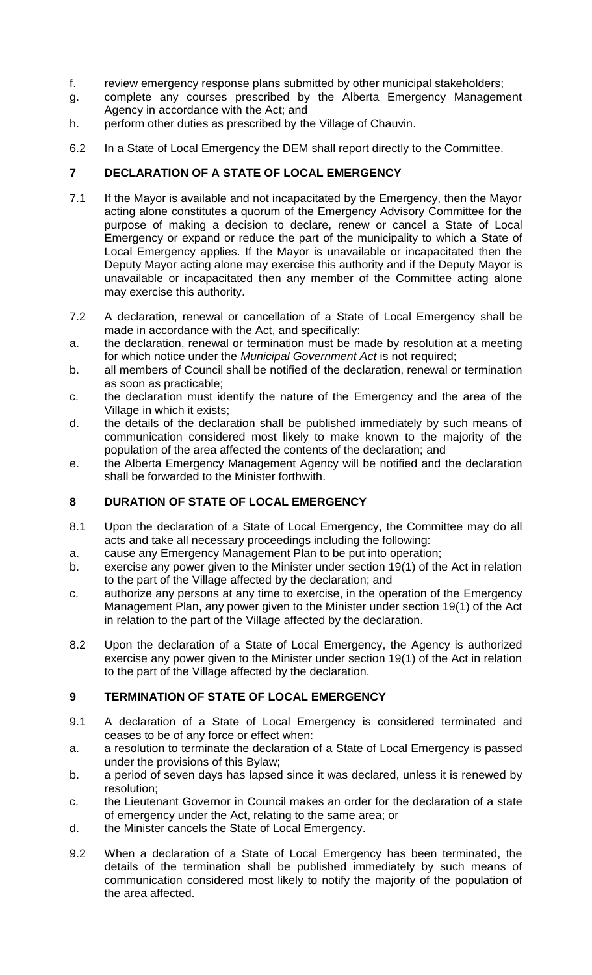- f. review emergency response plans submitted by other municipal stakeholders;
- g. complete any courses prescribed by the Alberta Emergency Management Agency in accordance with the Act; and
- h. perform other duties as prescribed by the Village of Chauvin.
- 6.2 In a State of Local Emergency the DEM shall report directly to the Committee.

# **7 DECLARATION OF A STATE OF LOCAL EMERGENCY**

- 7.1 If the Mayor is available and not incapacitated by the Emergency, then the Mayor acting alone constitutes a quorum of the Emergency Advisory Committee for the purpose of making a decision to declare, renew or cancel a State of Local Emergency or expand or reduce the part of the municipality to which a State of Local Emergency applies. If the Mayor is unavailable or incapacitated then the Deputy Mayor acting alone may exercise this authority and if the Deputy Mayor is unavailable or incapacitated then any member of the Committee acting alone may exercise this authority.
- 7.2 A declaration, renewal or cancellation of a State of Local Emergency shall be made in accordance with the Act, and specifically:
- a. the declaration, renewal or termination must be made by resolution at a meeting for which notice under the *Municipal Government Act* is not required;
- b. all members of Council shall be notified of the declaration, renewal or termination as soon as practicable;
- c. the declaration must identify the nature of the Emergency and the area of the Village in which it exists;
- d. the details of the declaration shall be published immediately by such means of communication considered most likely to make known to the majority of the population of the area affected the contents of the declaration; and
- e. the Alberta Emergency Management Agency will be notified and the declaration shall be forwarded to the Minister forthwith.

# **8 DURATION OF STATE OF LOCAL EMERGENCY**

- 8.1 Upon the declaration of a State of Local Emergency, the Committee may do all acts and take all necessary proceedings including the following:
- a. cause any Emergency Management Plan to be put into operation;
- b. exercise any power given to the Minister under section 19(1) of the Act in relation to the part of the Village affected by the declaration; and
- c. authorize any persons at any time to exercise, in the operation of the Emergency Management Plan, any power given to the Minister under section 19(1) of the Act in relation to the part of the Village affected by the declaration.
- 8.2 Upon the declaration of a State of Local Emergency, the Agency is authorized exercise any power given to the Minister under section 19(1) of the Act in relation to the part of the Village affected by the declaration.

# **9 TERMINATION OF STATE OF LOCAL EMERGENCY**

- 9.1 A declaration of a State of Local Emergency is considered terminated and ceases to be of any force or effect when:
- a. a resolution to terminate the declaration of a State of Local Emergency is passed under the provisions of this Bylaw;
- b. a period of seven days has lapsed since it was declared, unless it is renewed by resolution;
- c. the Lieutenant Governor in Council makes an order for the declaration of a state of emergency under the Act, relating to the same area; or
- d. the Minister cancels the State of Local Emergency.
- 9.2 When a declaration of a State of Local Emergency has been terminated, the details of the termination shall be published immediately by such means of communication considered most likely to notify the majority of the population of the area affected.